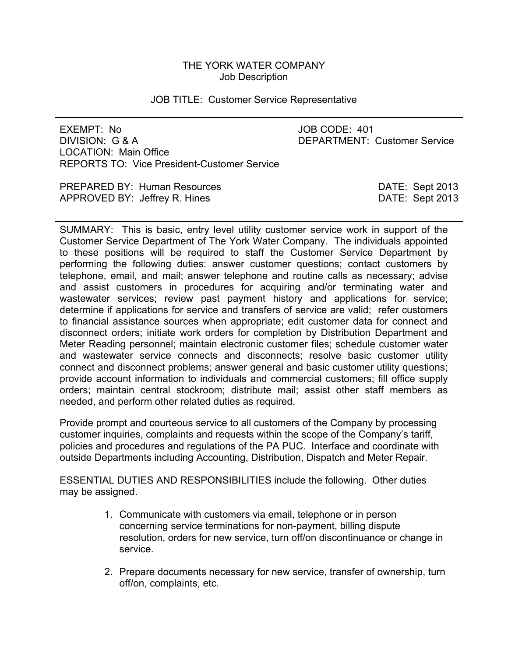# THE YORK WATER COMPANY Job Description

### JOB TITLE: Customer Service Representative

EXEMPT: No JOB CODE: 401 DIVISION: G & A DEPARTMENT: Customer Service LOCATION: Main Office REPORTS TO: Vice President-Customer Service

PREPARED BY: Human Resources DATE: Sept 2013 APPROVED BY: Jeffrey R. Hines **DATE: Sept 2013** 

SUMMARY: This is basic, entry level utility customer service work in support of the Customer Service Department of The York Water Company. The individuals appointed to these positions will be required to staff the Customer Service Department by performing the following duties: answer customer questions; contact customers by telephone, email, and mail; answer telephone and routine calls as necessary; advise and assist customers in procedures for acquiring and/or terminating water and wastewater services; review past payment history and applications for service; determine if applications for service and transfers of service are valid; refer customers to financial assistance sources when appropriate; edit customer data for connect and disconnect orders; initiate work orders for completion by Distribution Department and Meter Reading personnel; maintain electronic customer files; schedule customer water and wastewater service connects and disconnects; resolve basic customer utility connect and disconnect problems; answer general and basic customer utility questions; provide account information to individuals and commercial customers; fill office supply orders; maintain central stockroom; distribute mail; assist other staff members as needed, and perform other related duties as required.

Provide prompt and courteous service to all customers of the Company by processing customer inquiries, complaints and requests within the scope of the Company's tariff, policies and procedures and regulations of the PA PUC. Interface and coordinate with outside Departments including Accounting, Distribution, Dispatch and Meter Repair.

ESSENTIAL DUTIES AND RESPONSIBILITIES include the following. Other duties may be assigned.

- 1. Communicate with customers via email, telephone or in person concerning service terminations for non-payment, billing dispute resolution, orders for new service, turn off/on discontinuance or change in service.
- 2. Prepare documents necessary for new service, transfer of ownership, turn off/on, complaints, etc.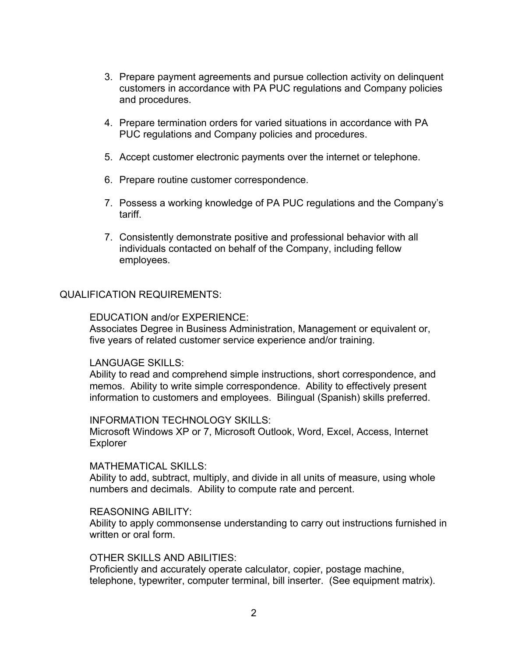- 3. Prepare payment agreements and pursue collection activity on delinquent customers in accordance with PA PUC regulations and Company policies and procedures.
- 4. Prepare termination orders for varied situations in accordance with PA PUC regulations and Company policies and procedures.
- 5. Accept customer electronic payments over the internet or telephone.
- 6. Prepare routine customer correspondence.
- 7. Possess a working knowledge of PA PUC regulations and the Company's tariff.
- 7. Consistently demonstrate positive and professional behavior with all individuals contacted on behalf of the Company, including fellow employees.

### QUALIFICATION REQUIREMENTS:

EDUCATION and/or EXPERIENCE:

Associates Degree in Business Administration, Management or equivalent or, five years of related customer service experience and/or training.

### LANGUAGE SKILLS:

Ability to read and comprehend simple instructions, short correspondence, and memos. Ability to write simple correspondence. Ability to effectively present information to customers and employees. Bilingual (Spanish) skills preferred.

### INFORMATION TECHNOLOGY SKILLS:

Microsoft Windows XP or 7, Microsoft Outlook, Word, Excel, Access, Internet **Explorer** 

#### MATHEMATICAL SKILLS:

Ability to add, subtract, multiply, and divide in all units of measure, using whole numbers and decimals. Ability to compute rate and percent.

### REASONING ABILITY:

Ability to apply commonsense understanding to carry out instructions furnished in written or oral form.

# OTHER SKILLS AND ABILITIES:

Proficiently and accurately operate calculator, copier, postage machine, telephone, typewriter, computer terminal, bill inserter. (See equipment matrix).